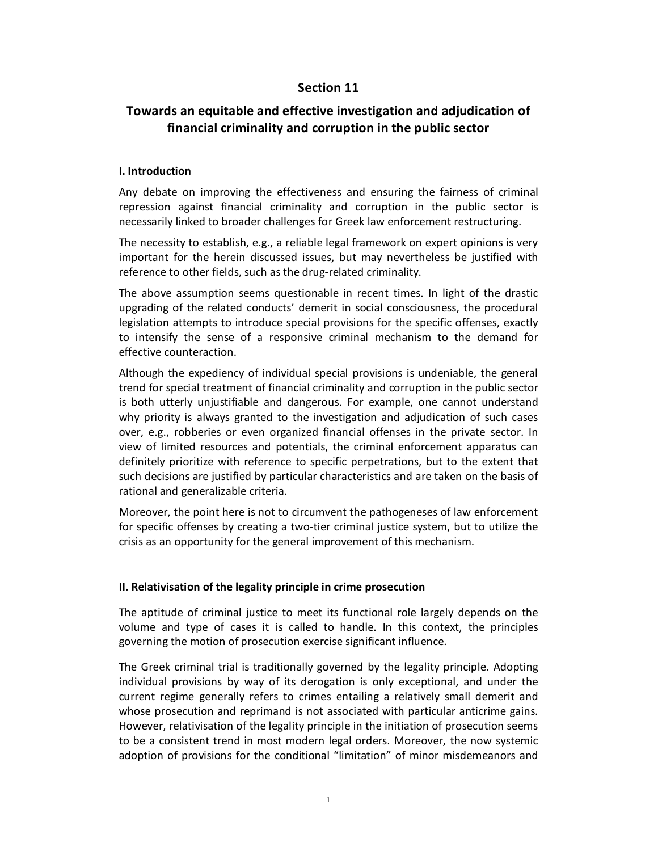# **Section 11**

# **Towards an equitable and effective investigation and adjudication of financial criminality and corruption in the public sector**

#### **I. Introduction**

Any debate on improving the effectiveness and ensuring the fairness of criminal repression against financial criminality and corruption in the public sector is necessarily linked to broader challenges for Greek law enforcement restructuring.

The necessity to establish, e.g., a reliable legal framework on expert opinions is very important for the herein discussed issues, but may nevertheless be justified with reference to other fields, such as the drug-related criminality.

The above assumption seems questionable in recent times. In light of the drastic upgrading of the related conducts' demerit in social consciousness, the procedural legislation attempts to introduce special provisions for the specific offenses, exactly to intensify the sense of a responsive criminal mechanism to the demand for effective counteraction.

Although the expediency of individual special provisions is undeniable, the general trend for special treatment of financial criminality and corruption in the public sector is both utterly unjustifiable and dangerous. For example, one cannot understand why priority is always granted to the investigation and adjudication of such cases over, e.g., robberies or even organized financial offenses in the private sector. In view of limited resources and potentials, the criminal enforcement apparatus can definitely prioritize with reference to specific perpetrations, but to the extent that such decisions are justified by particular characteristics and are taken on the basis of rational and generalizable criteria.

Moreover, the point here is not to circumvent the pathogeneses of law enforcement for specific offenses by creating a two-tier criminal justice system, but to utilize the crisis as an opportunity for the general improvement of this mechanism.

#### **II. Relativisation of the legality principle in crime prosecution**

The aptitude of criminal justice to meet its functional role largely depends on the volume and type of cases it is called to handle. In this context, the principles governing the motion of prosecution exercise significant influence.

The Greek criminal trial is traditionally governed by the legality principle. Adopting individual provisions by way of its derogation is only exceptional, and under the current regime generally refers to crimes entailing a relatively small demerit and whose prosecution and reprimand is not associated with particular anticrime gains. However, relativisation of the legality principle in the initiation of prosecution seems to be a consistent trend in most modern legal orders. Moreover, the now systemic adoption of provisions for the conditional "limitation" of minor misdemeanors and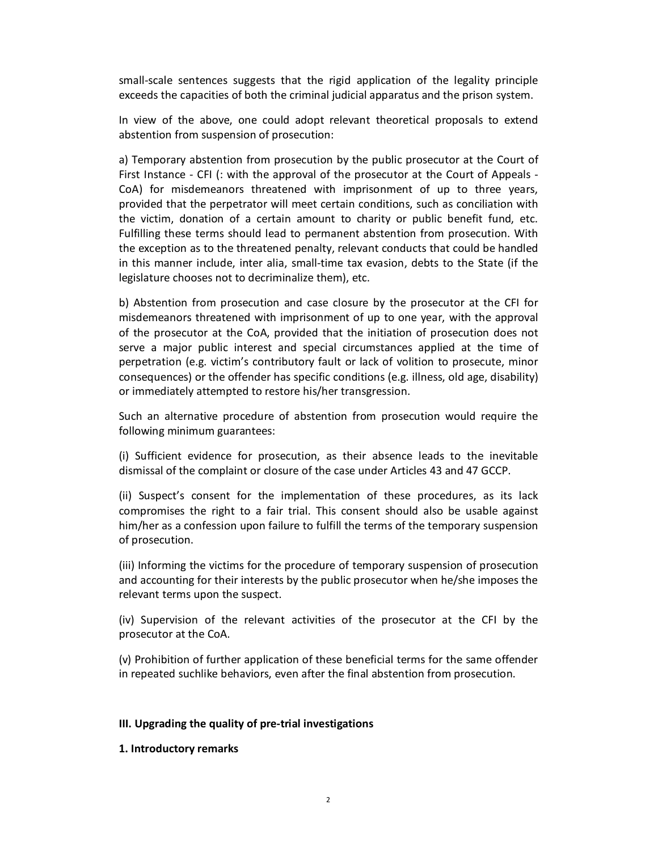small-scale sentences suggests that the rigid application of the legality principle exceeds the capacities of both the criminal judicial apparatus and the prison system.

In view of the above, one could adopt relevant theoretical proposals to extend abstention from suspension of prosecution:

a) Temporary abstention from prosecution by the public prosecutor at the Court of First Instance - CFI (: with the approval of the prosecutor at the Court of Appeals - CoA) for misdemeanors threatened with imprisonment of up to three years, provided that the perpetrator will meet certain conditions, such as conciliation with the victim, donation of a certain amount to charity or public benefit fund, etc. Fulfilling these terms should lead to permanent abstention from prosecution. With the exception as to the threatened penalty, relevant conducts that could be handled in this manner include, inter alia, small-time tax evasion, debts to the State (if the legislature chooses not to decriminalize them), etc.

b) Abstention from prosecution and case closure by the prosecutor at the CFI for misdemeanors threatened with imprisonment of up to one year, with the approval of the prosecutor at the CoA, provided that the initiation of prosecution does not serve a major public interest and special circumstances applied at the time of perpetration (e.g. victim's contributory fault or lack of volition to prosecute, minor consequences) or the offender has specific conditions (e.g. illness, old age, disability) or immediately attempted to restore his/her transgression.

Such an alternative procedure of abstention from prosecution would require the following minimum guarantees:

(i) Sufficient evidence for prosecution, as their absence leads to the inevitable dismissal of the complaint or closure of the case under Articles 43 and 47 GCCP.

(ii) Suspect's consent for the implementation of these procedures, as its lack compromises the right to a fair trial. This consent should also be usable against him/her as a confession upon failure to fulfill the terms of the temporary suspension of prosecution.

(iii) Informing the victims for the procedure of temporary suspension of prosecution and accounting for their interests by the public prosecutor when he/she imposes the relevant terms upon the suspect.

(iv) Supervision of the relevant activities of the prosecutor at the CFI by the prosecutor at the CoA.

(v) Prohibition of further application of these beneficial terms for the same offender in repeated suchlike behaviors, even after the final abstention from prosecution.

#### **III. Upgrading the quality of pre-trial investigations**

#### **1. Introductory remarks**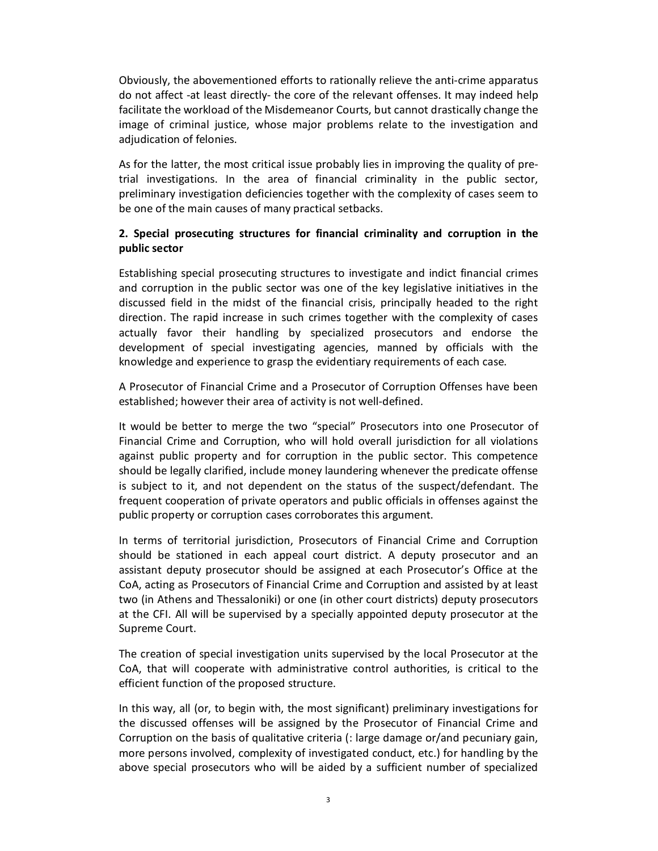Obviously, the abovementioned efforts to rationally relieve the anti-crime apparatus do not affect -at least directly- the core of the relevant offenses. It may indeed help facilitate the workload of the Misdemeanor Courts, but cannot drastically change the image of criminal justice, whose major problems relate to the investigation and adjudication of felonies.

As for the latter, the most critical issue probably lies in improving the quality of pretrial investigations. In the area of financial criminality in the public sector, preliminary investigation deficiencies together with the complexity of cases seem to be one of the main causes of many practical setbacks.

### **2. Special prosecuting structures for financial criminality and corruption in the public sector**

Establishing special prosecuting structures to investigate and indict financial crimes and corruption in the public sector was one of the key legislative initiatives in the discussed field in the midst of the financial crisis, principally headed to the right direction. The rapid increase in such crimes together with the complexity of cases actually favor their handling by specialized prosecutors and endorse the development of special investigating agencies, manned by officials with the knowledge and experience to grasp the evidentiary requirements of each case.

A Prosecutor of Financial Crime and a Prosecutor of Corruption Offenses have been established; however their area of activity is not well-defined.

It would be better to merge the two "special" Prosecutors into one Prosecutor of Financial Crime and Corruption, who will hold overall jurisdiction for all violations against public property and for corruption in the public sector. This competence should be legally clarified, include money laundering whenever the predicate offense is subject to it, and not dependent on the status of the suspect/defendant. The frequent cooperation of private operators and public officials in offenses against the public property or corruption cases corroborates this argument.

In terms of territorial jurisdiction, Prosecutors of Financial Crime and Corruption should be stationed in each appeal court district. A deputy prosecutor and an assistant deputy prosecutor should be assigned at each Prosecutor's Office at the CoA, acting as Prosecutors of Financial Crime and Corruption and assisted by at least two (in Athens and Thessaloniki) or one (in other court districts) deputy prosecutors at the CFI. All will be supervised by a specially appointed deputy prosecutor at the Supreme Court.

The creation of special investigation units supervised by the local Prosecutor at the CoA, that will cooperate with administrative control authorities, is critical to the efficient function of the proposed structure.

In this way, all (or, to begin with, the most significant) preliminary investigations for the discussed offenses will be assigned by the Prosecutor of Financial Crime and Corruption on the basis of qualitative criteria (: large damage or/and pecuniary gain, more persons involved, complexity of investigated conduct, etc.) for handling by the above special prosecutors who will be aided by a sufficient number of specialized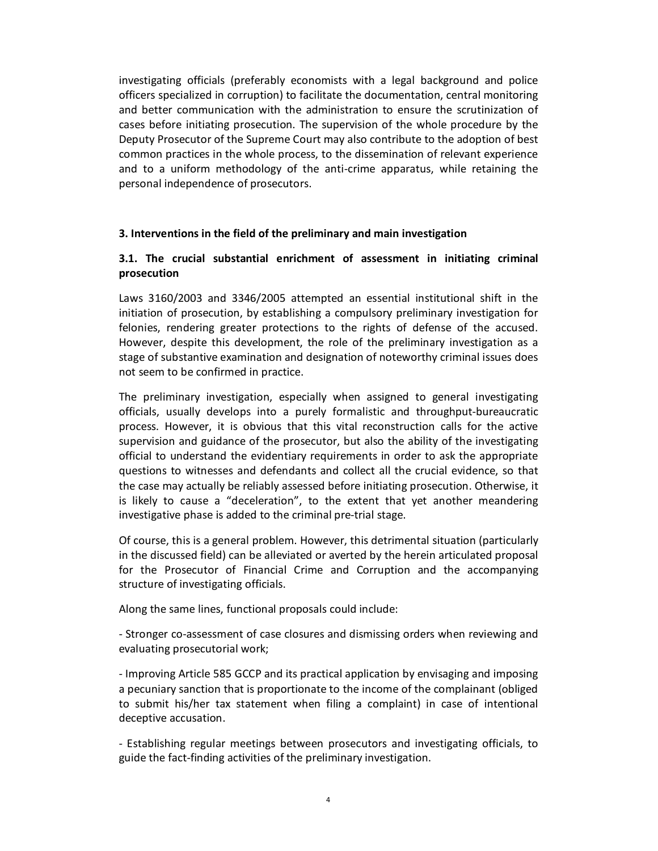investigating officials (preferably economists with a legal background and police officers specialized in corruption) to facilitate the documentation, central monitoring and better communication with the administration to ensure the scrutinization of cases before initiating prosecution. The supervision of the whole procedure by the Deputy Prosecutor of the Supreme Court may also contribute to the adoption of best common practices in the whole process, to the dissemination of relevant experience and to a uniform methodology of the anti-crime apparatus, while retaining the personal independence of prosecutors.

#### **3. Interventions in the field of the preliminary and main investigation**

### **3.1. The crucial substantial enrichment of assessment in initiating criminal prosecution**

Laws 3160/2003 and 3346/2005 attempted an essential institutional shift in the initiation of prosecution, by establishing a compulsory preliminary investigation for felonies, rendering greater protections to the rights of defense of the accused. However, despite this development, the role of the preliminary investigation as a stage of substantive examination and designation of noteworthy criminal issues does not seem to be confirmed in practice.

The preliminary investigation, especially when assigned to general investigating officials, usually develops into a purely formalistic and throughput-bureaucratic process. However, it is obvious that this vital reconstruction calls for the active supervision and guidance of the prosecutor, but also the ability of the investigating official to understand the evidentiary requirements in order to ask the appropriate questions to witnesses and defendants and collect all the crucial evidence, so that the case may actually be reliably assessed before initiating prosecution. Otherwise, it is likely to cause a "deceleration", to the extent that yet another meandering investigative phase is added to the criminal pre-trial stage.

Of course, this is a general problem. However, this detrimental situation (particularly in the discussed field) can be alleviated or averted by the herein articulated proposal for the Prosecutor of Financial Crime and Corruption and the accompanying structure of investigating officials.

Along the same lines, functional proposals could include:

- Stronger co-assessment of case closures and dismissing orders when reviewing and evaluating prosecutorial work;

- Improving Article 585 GCCP and its practical application by envisaging and imposing a pecuniary sanction that is proportionate to the income of the complainant (obliged to submit his/her tax statement when filing a complaint) in case of intentional deceptive accusation.

- Establishing regular meetings between prosecutors and investigating officials, to guide the fact-finding activities of the preliminary investigation.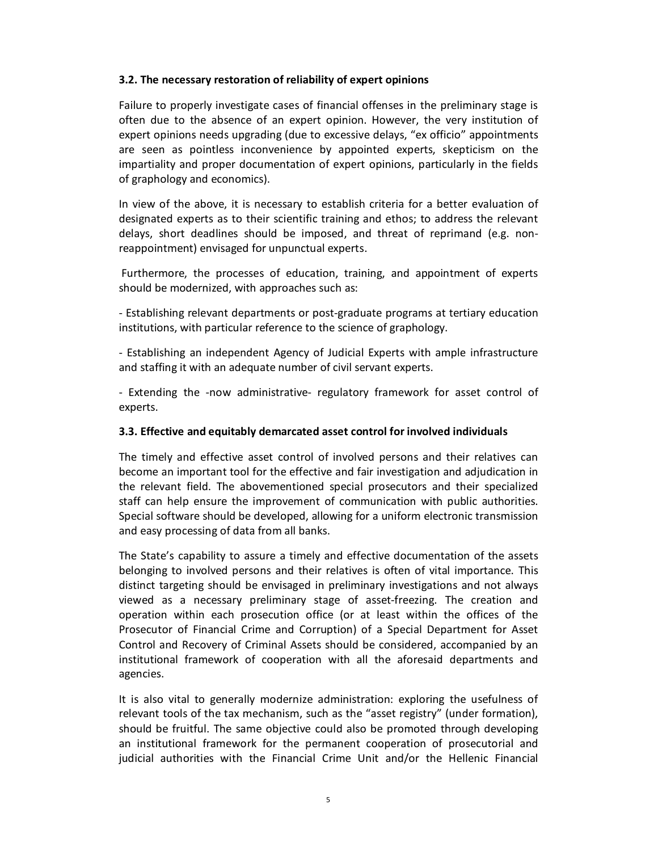### **3.2. The necessary restoration of reliability of expert opinions**

Failure to properly investigate cases of financial offenses in the preliminary stage is often due to the absence of an expert opinion. However, the very institution of expert opinions needs upgrading (due to excessive delays, "ex officio" appointments are seen as pointless inconvenience by appointed experts, skepticism on the impartiality and proper documentation of expert opinions, particularly in the fields of graphology and economics).

In view of the above, it is necessary to establish criteria for a better evaluation of designated experts as to their scientific training and ethos; to address the relevant delays, short deadlines should be imposed, and threat of reprimand (e.g. nonreappointment) envisaged for unpunctual experts.

 Furthermore, the processes of education, training, and appointment of experts should be modernized, with approaches such as:

- Establishing relevant departments or post-graduate programs at tertiary education institutions, with particular reference to the science of graphology.

- Establishing an independent Agency of Judicial Experts with ample infrastructure and staffing it with an adequate number of civil servant experts.

- Extending the -now administrative- regulatory framework for asset control of experts.

#### **3.3. Effective and equitably demarcated asset control for involved individuals**

The timely and effective asset control of involved persons and their relatives can become an important tool for the effective and fair investigation and adjudication in the relevant field. The abovementioned special prosecutors and their specialized staff can help ensure the improvement of communication with public authorities. Special software should be developed, allowing for a uniform electronic transmission and easy processing of data from all banks.

The State's capability to assure a timely and effective documentation of the assets belonging to involved persons and their relatives is often of vital importance. This distinct targeting should be envisaged in preliminary investigations and not always viewed as a necessary preliminary stage of asset-freezing. The creation and operation within each prosecution office (or at least within the offices of the Prosecutor of Financial Crime and Corruption) of a Special Department for Asset Control and Recovery of Criminal Assets should be considered, accompanied by an institutional framework of cooperation with all the aforesaid departments and agencies.

It is also vital to generally modernize administration: exploring the usefulness of relevant tools of the tax mechanism, such as the "asset registry" (under formation), should be fruitful. The same objective could also be promoted through developing an institutional framework for the permanent cooperation of prosecutorial and judicial authorities with the Financial Crime Unit and/or the Hellenic Financial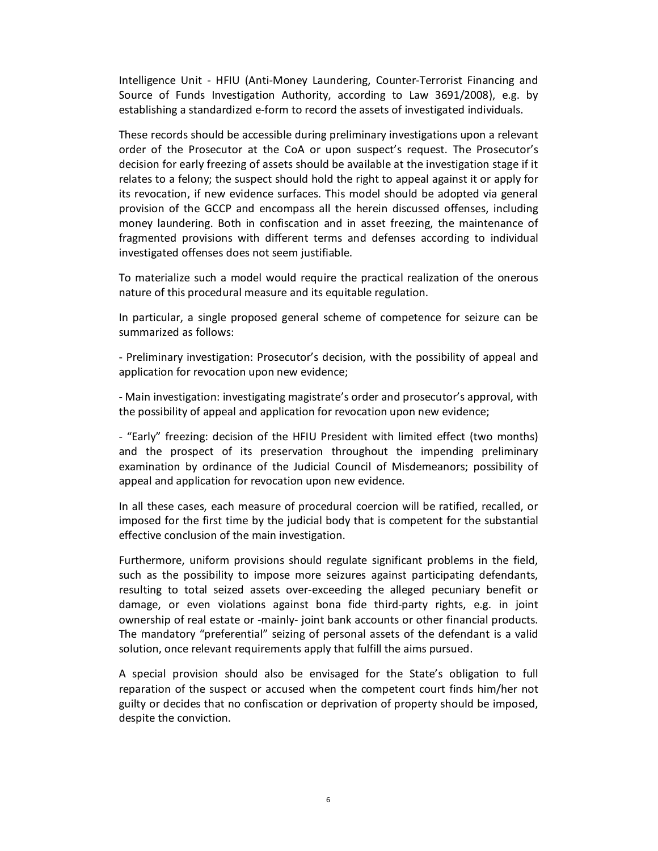Intelligence Unit - HFIU (Anti-Money Laundering, Counter-Terrorist Financing and Source of Funds Investigation Authority, according to Law 3691/2008), e.g. by establishing a standardized e-form to record the assets of investigated individuals.

These records should be accessible during preliminary investigations upon a relevant order of the Prosecutor at the CoA or upon suspect's request. The Prosecutor's decision for early freezing of assets should be available at the investigation stage if it relates to a felony; the suspect should hold the right to appeal against it or apply for its revocation, if new evidence surfaces. This model should be adopted via general provision of the GCCP and encompass all the herein discussed offenses, including money laundering. Both in confiscation and in asset freezing, the maintenance of fragmented provisions with different terms and defenses according to individual investigated offenses does not seem justifiable.

To materialize such a model would require the practical realization of the onerous nature of this procedural measure and its equitable regulation.

In particular, a single proposed general scheme of competence for seizure can be summarized as follows:

- Preliminary investigation: Prosecutor's decision, with the possibility of appeal and application for revocation upon new evidence;

- Main investigation: investigating magistrate's order and prosecutor's approval, with the possibility of appeal and application for revocation upon new evidence;

- "Early" freezing: decision of the HFIU President with limited effect (two months) and the prospect of its preservation throughout the impending preliminary examination by ordinance of the Judicial Council of Misdemeanors; possibility of appeal and application for revocation upon new evidence.

In all these cases, each measure of procedural coercion will be ratified, recalled, or imposed for the first time by the judicial body that is competent for the substantial effective conclusion of the main investigation.

Furthermore, uniform provisions should regulate significant problems in the field, such as the possibility to impose more seizures against participating defendants, resulting to total seized assets over-exceeding the alleged pecuniary benefit or damage, or even violations against bona fide third-party rights, e.g. in joint ownership of real estate or -mainly- joint bank accounts or other financial products. The mandatory "preferential" seizing of personal assets of the defendant is a valid solution, once relevant requirements apply that fulfill the aims pursued.

A special provision should also be envisaged for the State's obligation to full reparation of the suspect or accused when the competent court finds him/her not guilty or decides that no confiscation or deprivation of property should be imposed, despite the conviction.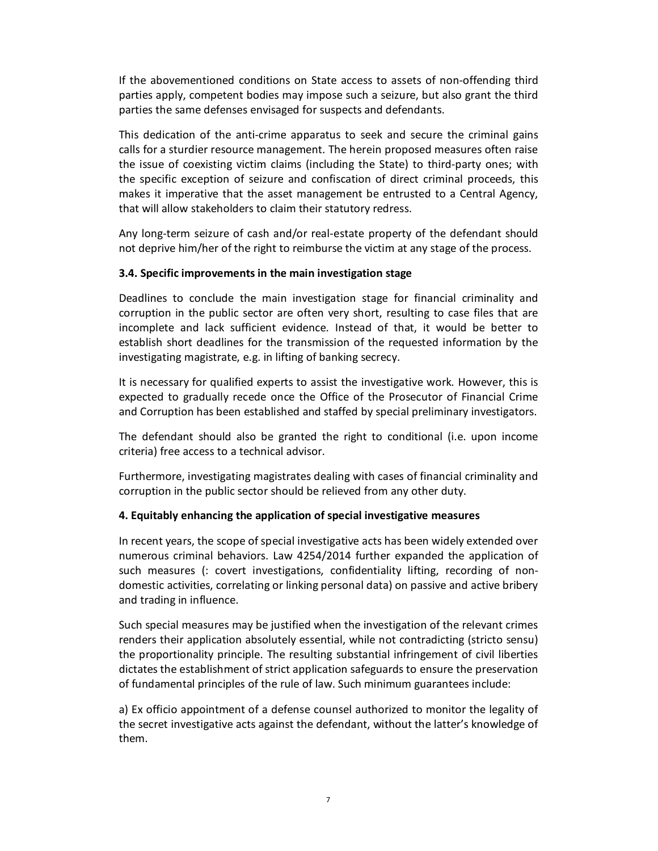If the abovementioned conditions on State access to assets of non-offending third parties apply, competent bodies may impose such a seizure, but also grant the third parties the same defenses envisaged for suspects and defendants.

This dedication of the anti-crime apparatus to seek and secure the criminal gains calls for a sturdier resource management. The herein proposed measures often raise the issue of coexisting victim claims (including the State) to third-party ones; with the specific exception of seizure and confiscation of direct criminal proceeds, this makes it imperative that the asset management be entrusted to a Central Agency, that will allow stakeholders to claim their statutory redress.

Any long-term seizure of cash and/or real-estate property of the defendant should not deprive him/her of the right to reimburse the victim at any stage of the process.

#### **3.4. Specific improvements in the main investigation stage**

Deadlines to conclude the main investigation stage for financial criminality and corruption in the public sector are often very short, resulting to case files that are incomplete and lack sufficient evidence. Instead of that, it would be better to establish short deadlines for the transmission of the requested information by the investigating magistrate, e.g. in lifting of banking secrecy.

It is necessary for qualified experts to assist the investigative work. However, this is expected to gradually recede once the Office of the Prosecutor of Financial Crime and Corruption has been established and staffed by special preliminary investigators.

The defendant should also be granted the right to conditional (i.e. upon income criteria) free access to a technical advisor.

Furthermore, investigating magistrates dealing with cases of financial criminality and corruption in the public sector should be relieved from any other duty.

#### **4. Equitably enhancing the application of special investigative measures**

In recent years, the scope of special investigative acts has been widely extended over numerous criminal behaviors. Law 4254/2014 further expanded the application of such measures (: covert investigations, confidentiality lifting, recording of nondomestic activities, correlating or linking personal data) on passive and active bribery and trading in influence.

Such special measures may be justified when the investigation of the relevant crimes renders their application absolutely essential, while not contradicting (stricto sensu) the proportionality principle. The resulting substantial infringement of civil liberties dictates the establishment of strict application safeguards to ensure the preservation of fundamental principles of the rule of law. Such minimum guarantees include:

a) Ex officio appointment of a defense counsel authorized to monitor the legality of the secret investigative acts against the defendant, without the latter's knowledge of them.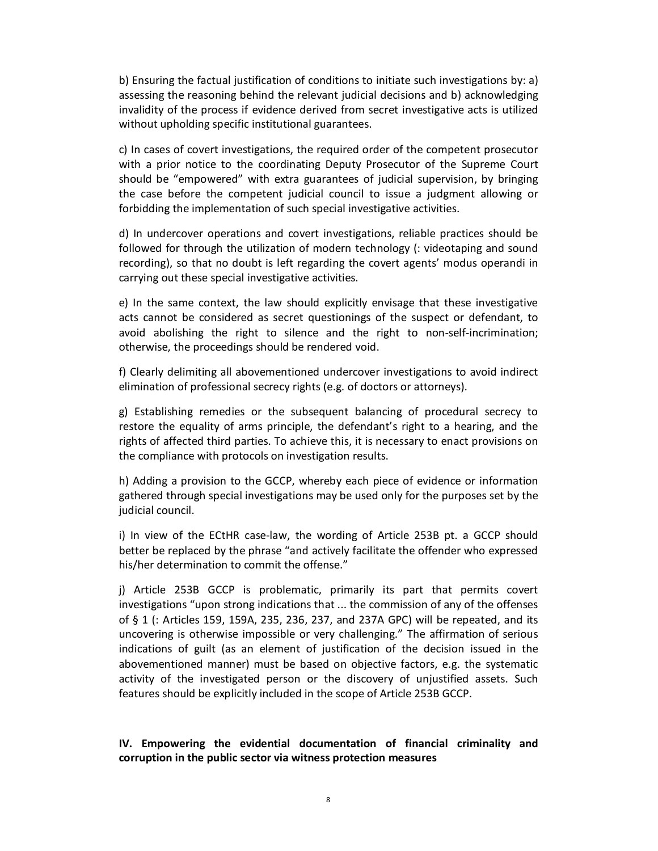b) Ensuring the factual justification of conditions to initiate such investigations by: a) assessing the reasoning behind the relevant judicial decisions and b) acknowledging invalidity of the process if evidence derived from secret investigative acts is utilized without upholding specific institutional guarantees.

c) In cases of covert investigations, the required order of the competent prosecutor with a prior notice to the coordinating Deputy Prosecutor of the Supreme Court should be "empowered" with extra guarantees of judicial supervision, by bringing the case before the competent judicial council to issue a judgment allowing or forbidding the implementation of such special investigative activities.

d) In undercover operations and covert investigations, reliable practices should be followed for through the utilization of modern technology (: videotaping and sound recording), so that no doubt is left regarding the covert agents' modus operandi in carrying out these special investigative activities.

e) In the same context, the law should explicitly envisage that these investigative acts cannot be considered as secret questionings of the suspect or defendant, to avoid abolishing the right to silence and the right to non-self-incrimination; otherwise, the proceedings should be rendered void.

f) Clearly delimiting all abovementioned undercover investigations to avoid indirect elimination of professional secrecy rights (e.g. of doctors or attorneys).

g) Establishing remedies or the subsequent balancing of procedural secrecy to restore the equality of arms principle, the defendant's right to a hearing, and the rights of affected third parties. To achieve this, it is necessary to enact provisions on the compliance with protocols on investigation results.

h) Adding a provision to the GCCP, whereby each piece of evidence or information gathered through special investigations may be used only for the purposes set by the judicial council.

i) In view of the ECtHR case-law, the wording of Article 253B pt. a GCCP should better be replaced by the phrase "and actively facilitate the offender who expressed his/her determination to commit the offense."

j) Article 253B GCCP is problematic, primarily its part that permits covert investigations "upon strong indications that ... the commission of any of the offenses of § 1 (: Articles 159, 159A, 235, 236, 237, and 237A GPC) will be repeated, and its uncovering is otherwise impossible or very challenging." The affirmation of serious indications of guilt (as an element of justification of the decision issued in the abovementioned manner) must be based on objective factors, e.g. the systematic activity of the investigated person or the discovery of unjustified assets. Such features should be explicitly included in the scope of Article 253B GCCP.

### **IV. Empowering the evidential documentation of financial criminality and corruption in the public sector via witness protection measures**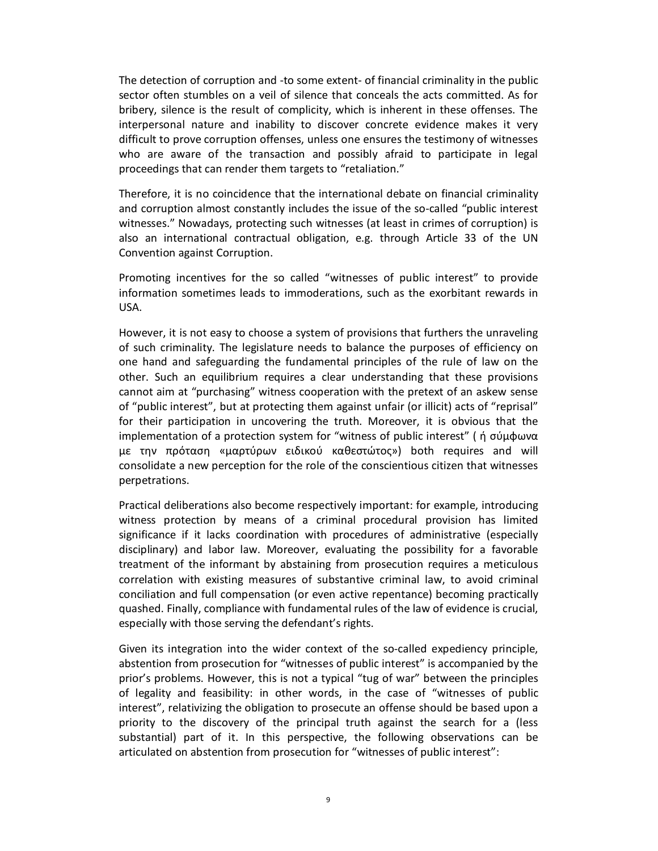The detection of corruption and -to some extent- of financial criminality in the public sector often stumbles on a veil of silence that conceals the acts committed. As for bribery, silence is the result of complicity, which is inherent in these offenses. The interpersonal nature and inability to discover concrete evidence makes it very difficult to prove corruption offenses, unless one ensures the testimony of witnesses who are aware of the transaction and possibly afraid to participate in legal proceedings that can render them targets to "retaliation."

Therefore, it is no coincidence that the international debate on financial criminality and corruption almost constantly includes the issue of the so-called "public interest witnesses." Nowadays, protecting such witnesses (at least in crimes of corruption) is also an international contractual obligation, e.g. through Article 33 of the UN Convention against Corruption.

Promoting incentives for the so called "witnesses of public interest" to provide information sometimes leads to immoderations, such as the exorbitant rewards in USA.

However, it is not easy to choose a system of provisions that furthers the unraveling of such criminality. The legislature needs to balance the purposes of efficiency on one hand and safeguarding the fundamental principles of the rule of law on the other. Such an equilibrium requires a clear understanding that these provisions cannot aim at "purchasing" witness cooperation with the pretext of an askew sense of "public interest", but at protecting them against unfair (or illicit) acts of "reprisal" for their participation in uncovering the truth. Moreover, it is obvious that the implementation of a protection system for "witness of public interest" ( ή σύμφωνα με την πρόταση «μαρτύρων ειδικού καθεστώτος») both requires and will consolidate a new perception for the role of the conscientious citizen that witnesses perpetrations.

Practical deliberations also become respectively important: for example, introducing witness protection by means of a criminal procedural provision has limited significance if it lacks coordination with procedures of administrative (especially disciplinary) and labor law. Moreover, evaluating the possibility for a favorable treatment of the informant by abstaining from prosecution requires a meticulous correlation with existing measures of substantive criminal law, to avoid criminal conciliation and full compensation (or even active repentance) becoming practically quashed. Finally, compliance with fundamental rules of the law of evidence is crucial, especially with those serving the defendant's rights.

Given its integration into the wider context of the so-called expediency principle, abstention from prosecution for "witnesses of public interest" is accompanied by the prior's problems. However, this is not a typical "tug of war" between the principles of legality and feasibility: in other words, in the case of "witnesses of public interest", relativizing the obligation to prosecute an offense should be based upon a priority to the discovery of the principal truth against the search for a (less substantial) part of it. In this perspective, the following observations can be articulated on abstention from prosecution for "witnesses of public interest":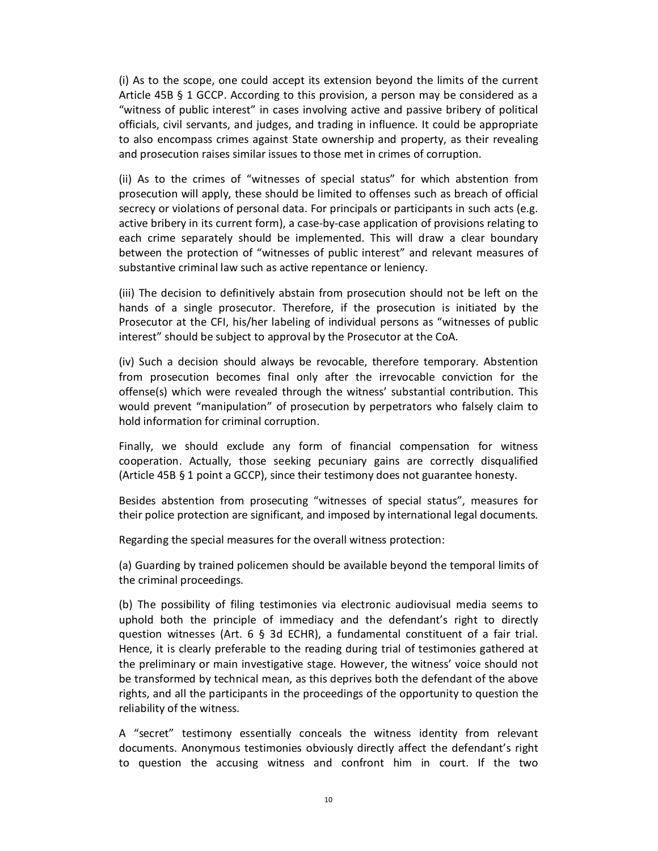(i) As to the scope, one could accept its extension beyond the limits of the current Article 45B § 1 GCCP. According to this provision, a person may be considered as a "witness of public interest" in cases involving active and passive bribery of political officials, civil servants, and judges, and trading in influence. It could be appropriate to also encompass crimes against State ownership and property, as their revealing and prosecution raises similar issues to those met in crimes of corruption.

(ii) As to the crimes of "witnesses of special status" for which abstention from prosecution will apply, these should be limited to offenses such as breach of official secrecy or violations of personal data. For principals or participants in such acts (e.g. active bribery in its current form), a case-by-case application of provisions relating to each crime separately should be implemented. This will draw a clear boundary between the protection of "witnesses of public interest" and relevant measures of substantive criminal law such as active repentance or leniency.

(iii) The decision to definitively abstain from prosecution should not be left on the hands of a single prosecutor. Therefore, if the prosecution is initiated by the Prosecutor at the CFI, his/her labeling of individual persons as "witnesses of public interest" should be subject to approval by the Prosecutor at the CoA.

(iv) Such a decision should always be revocable, therefore temporary. Abstention from prosecution becomes final only after the irrevocable conviction for the offense(s) which were revealed through the witness' substantial contribution. This would prevent "manipulation" of prosecution by perpetrators who falsely claim to hold information for criminal corruption.

Finally, we should exclude any form of financial compensation for witness cooperation. Actually, those seeking pecuniary gains are correctly disqualified (Article 45B § 1 point a GCCP), since their testimony does not guarantee honesty.

Besides abstention from prosecuting "witnesses of special status", measures for their police protection are significant, and imposed by international legal documents.

Regarding the special measures for the overall witness protection:

(a) Guarding by trained policemen should be available beyond the temporal limits of the criminal proceedings.

(b) The possibility of filing testimonies via electronic audiovisual media seems to uphold both the principle of immediacy and the defendant's right to directly question witnesses (Art. 6 § 3d ECHR), a fundamental constituent of a fair trial. Hence, it is clearly preferable to the reading during trial of testimonies gathered at the preliminary or main investigative stage. However, the witness' voice should not be transformed by technical mean, as this deprives both the defendant of the above rights, and all the participants in the proceedings of the opportunity to question the reliability of the witness.

A "secret" testimony essentially conceals the witness identity from relevant documents. Anonymous testimonies obviously directly affect the defendant's right to question the accusing witness and confront him in court. If the two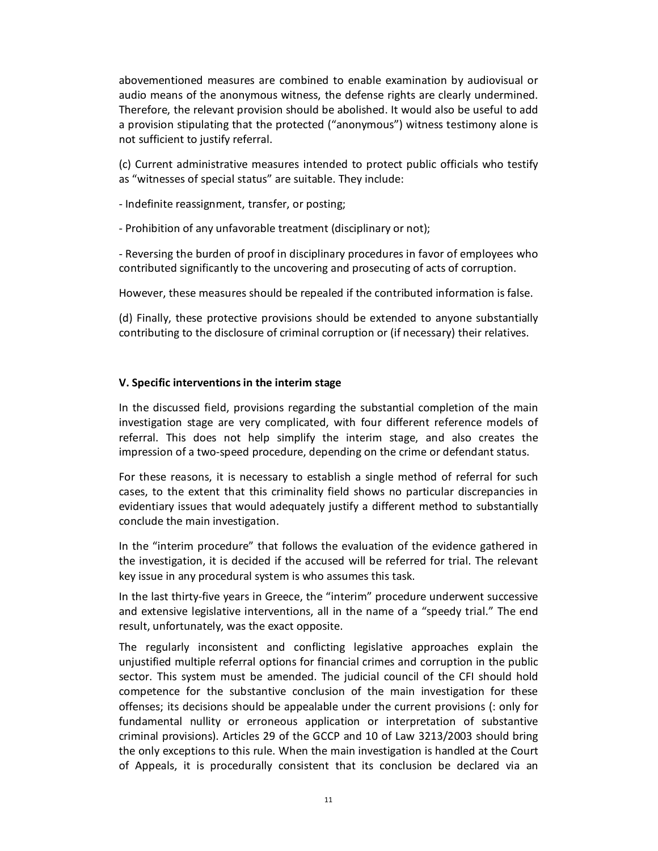abovementioned measures are combined to enable examination by audiovisual or audio means of the anonymous witness, the defense rights are clearly undermined. Therefore, the relevant provision should be abolished. It would also be useful to add a provision stipulating that the protected ("anonymous") witness testimony alone is not sufficient to justify referral.

(c) Current administrative measures intended to protect public officials who testify as "witnesses of special status" are suitable. They include:

- Indefinite reassignment, transfer, or posting;

- Prohibition of any unfavorable treatment (disciplinary or not);

- Reversing the burden of proof in disciplinary procedures in favor of employees who contributed significantly to the uncovering and prosecuting of acts of corruption.

However, these measures should be repealed if the contributed information is false.

(d) Finally, these protective provisions should be extended to anyone substantially contributing to the disclosure of criminal corruption or (if necessary) their relatives.

#### **V. Specific interventions in the interim stage**

In the discussed field, provisions regarding the substantial completion of the main investigation stage are very complicated, with four different reference models of referral. This does not help simplify the interim stage, and also creates the impression of a two-speed procedure, depending on the crime or defendant status.

For these reasons, it is necessary to establish a single method of referral for such cases, to the extent that this criminality field shows no particular discrepancies in evidentiary issues that would adequately justify a different method to substantially conclude the main investigation.

In the "interim procedure" that follows the evaluation of the evidence gathered in the investigation, it is decided if the accused will be referred for trial. The relevant key issue in any procedural system is who assumes this task.

In the last thirty-five years in Greece, the "interim" procedure underwent successive and extensive legislative interventions, all in the name of a "speedy trial." The end result, unfortunately, was the exact opposite.

The regularly inconsistent and conflicting legislative approaches explain the unjustified multiple referral options for financial crimes and corruption in the public sector. This system must be amended. The judicial council of the CFI should hold competence for the substantive conclusion of the main investigation for these offenses; its decisions should be appealable under the current provisions (: only for fundamental nullity or erroneous application or interpretation of substantive criminal provisions). Articles 29 of the GCCP and 10 of Law 3213/2003 should bring the only exceptions to this rule. When the main investigation is handled at the Court of Appeals, it is procedurally consistent that its conclusion be declared via an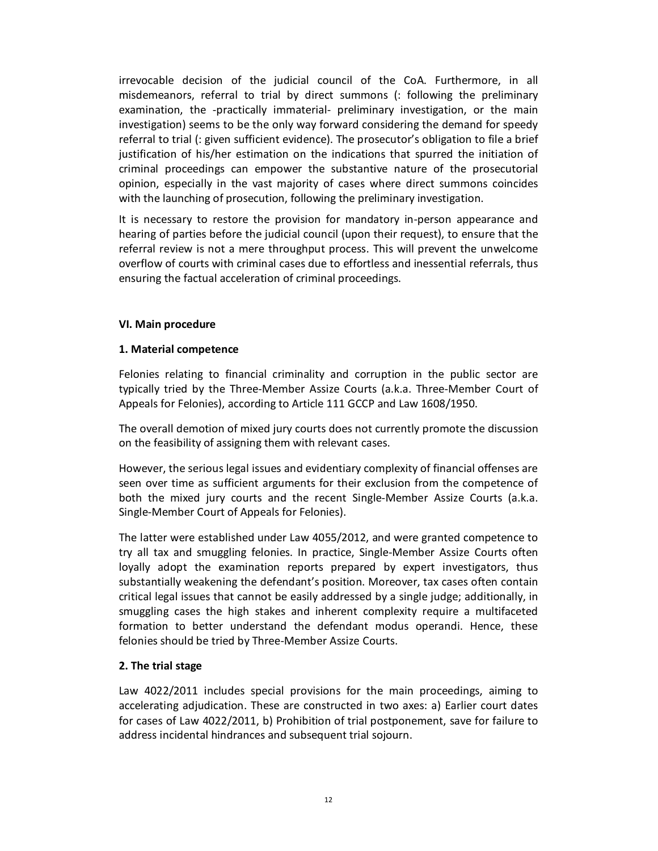irrevocable decision of the judicial council of the CoA. Furthermore, in all misdemeanors, referral to trial by direct summons (: following the preliminary examination, the -practically immaterial- preliminary investigation, or the main investigation) seems to be the only way forward considering the demand for speedy referral to trial (: given sufficient evidence). The prosecutor's obligation to file a brief justification of his/her estimation on the indications that spurred the initiation of criminal proceedings can empower the substantive nature of the prosecutorial opinion, especially in the vast majority of cases where direct summons coincides with the launching of prosecution, following the preliminary investigation.

It is necessary to restore the provision for mandatory in-person appearance and hearing of parties before the judicial council (upon their request), to ensure that the referral review is not a mere throughput process. This will prevent the unwelcome overflow of courts with criminal cases due to effortless and inessential referrals, thus ensuring the factual acceleration of criminal proceedings.

#### **VI. Main procedure**

### **1. Material competence**

Felonies relating to financial criminality and corruption in the public sector are typically tried by the Three-Member Assize Courts (a.k.a. Three-Member Court of Appeals for Felonies), according to Article 111 GCCP and Law 1608/1950.

The overall demotion of mixed jury courts does not currently promote the discussion on the feasibility of assigning them with relevant cases.

However, the serious legal issues and evidentiary complexity of financial offenses are seen over time as sufficient arguments for their exclusion from the competence of both the mixed jury courts and the recent Single-Member Assize Courts (a.k.a. Single-Member Court of Appeals for Felonies).

The latter were established under Law 4055/2012, and were granted competence to try all tax and smuggling felonies. In practice, Single-Member Assize Courts often loyally adopt the examination reports prepared by expert investigators, thus substantially weakening the defendant's position. Moreover, tax cases often contain critical legal issues that cannot be easily addressed by a single judge; additionally, in smuggling cases the high stakes and inherent complexity require a multifaceted formation to better understand the defendant modus operandi. Hence, these felonies should be tried by Three-Member Assize Courts.

## **2. The trial stage**

Law 4022/2011 includes special provisions for the main proceedings, aiming to accelerating adjudication. These are constructed in two axes: a) Earlier court dates for cases of Law 4022/2011, b) Prohibition of trial postponement, save for failure to address incidental hindrances and subsequent trial sojourn.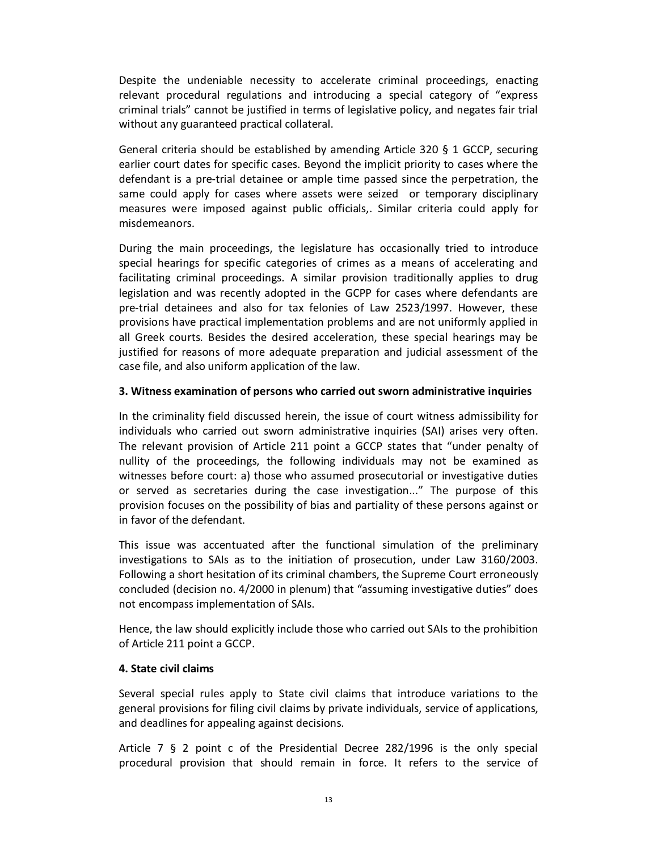Despite the undeniable necessity to accelerate criminal proceedings, enacting relevant procedural regulations and introducing a special category of "express criminal trials" cannot be justified in terms of legislative policy, and negates fair trial without any guaranteed practical collateral.

General criteria should be established by amending Article 320 § 1 GCCP, securing earlier court dates for specific cases. Beyond the implicit priority to cases where the defendant is a pre-trial detainee or ample time passed since the perpetration, the same could apply for cases where assets were seized or temporary disciplinary measures were imposed against public officials,. Similar criteria could apply for misdemeanors.

During the main proceedings, the legislature has occasionally tried to introduce special hearings for specific categories of crimes as a means of accelerating and facilitating criminal proceedings. A similar provision traditionally applies to drug legislation and was recently adopted in the GCPP for cases where defendants are pre-trial detainees and also for tax felonies of Law 2523/1997. However, these provisions have practical implementation problems and are not uniformly applied in all Greek courts. Besides the desired acceleration, these special hearings may be justified for reasons of more adequate preparation and judicial assessment of the case file, and also uniform application of the law.

#### **3. Witness examination of persons who carried out sworn administrative inquiries**

In the criminality field discussed herein, the issue of court witness admissibility for individuals who carried out sworn administrative inquiries (SAI) arises very often. The relevant provision of Article 211 point a GCCP states that "under penalty of nullity of the proceedings, the following individuals may not be examined as witnesses before court: a) those who assumed prosecutorial or investigative duties or served as secretaries during the case investigation..." The purpose of this provision focuses on the possibility of bias and partiality of these persons against or in favor of the defendant.

This issue was accentuated after the functional simulation of the preliminary investigations to SAIs as to the initiation of prosecution, under Law 3160/2003. Following a short hesitation of its criminal chambers, the Supreme Court erroneously concluded (decision no. 4/2000 in plenum) that "assuming investigative duties" does not encompass implementation of SAIs.

Hence, the law should explicitly include those who carried out SAIs to the prohibition of Article 211 point a GCCP.

#### **4. State civil claims**

Several special rules apply to State civil claims that introduce variations to the general provisions for filing civil claims by private individuals, service of applications, and deadlines for appealing against decisions.

Article 7 § 2 point c of the Presidential Decree 282/1996 is the only special procedural provision that should remain in force. It refers to the service of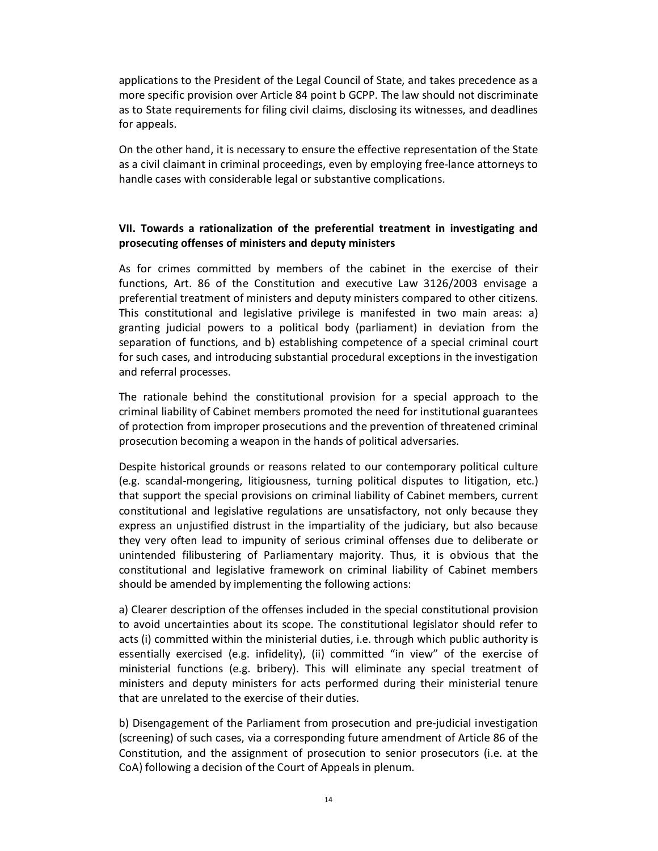applications to the President of the Legal Council of State, and takes precedence as a more specific provision over Article 84 point b GCPP. The law should not discriminate as to State requirements for filing civil claims, disclosing its witnesses, and deadlines for appeals.

On the other hand, it is necessary to ensure the effective representation of the State as a civil claimant in criminal proceedings, even by employing free-lance attorneys to handle cases with considerable legal or substantive complications.

### **VII. Towards a rationalization of the preferential treatment in investigating and prosecuting offenses of ministers and deputy ministers**

As for crimes committed by members of the cabinet in the exercise of their functions, Art. 86 of the Constitution and executive Law 3126/2003 envisage a preferential treatment of ministers and deputy ministers compared to other citizens. This constitutional and legislative privilege is manifested in two main areas: a) granting judicial powers to a political body (parliament) in deviation from the separation of functions, and b) establishing competence of a special criminal court for such cases, and introducing substantial procedural exceptions in the investigation and referral processes.

The rationale behind the constitutional provision for a special approach to the criminal liability of Cabinet members promoted the need for institutional guarantees of protection from improper prosecutions and the prevention of threatened criminal prosecution becoming a weapon in the hands of political adversaries.

Despite historical grounds or reasons related to our contemporary political culture (e.g. scandal-mongering, litigiousness, turning political disputes to litigation, etc.) that support the special provisions on criminal liability of Cabinet members, current constitutional and legislative regulations are unsatisfactory, not only because they express an unjustified distrust in the impartiality of the judiciary, but also because they very often lead to impunity of serious criminal offenses due to deliberate or unintended filibustering of Parliamentary majority. Thus, it is obvious that the constitutional and legislative framework on criminal liability of Cabinet members should be amended by implementing the following actions:

a) Clearer description of the offenses included in the special constitutional provision to avoid uncertainties about its scope. The constitutional legislator should refer to acts (i) committed within the ministerial duties, i.e. through which public authority is essentially exercised (e.g. infidelity), (ii) committed "in view" of the exercise of ministerial functions (e.g. bribery). This will eliminate any special treatment of ministers and deputy ministers for acts performed during their ministerial tenure that are unrelated to the exercise of their duties.

b) Disengagement of the Parliament from prosecution and pre-judicial investigation (screening) of such cases, via a corresponding future amendment of Article 86 of the Constitution, and the assignment of prosecution to senior prosecutors (i.e. at the CoA) following a decision of the Court of Appeals in plenum.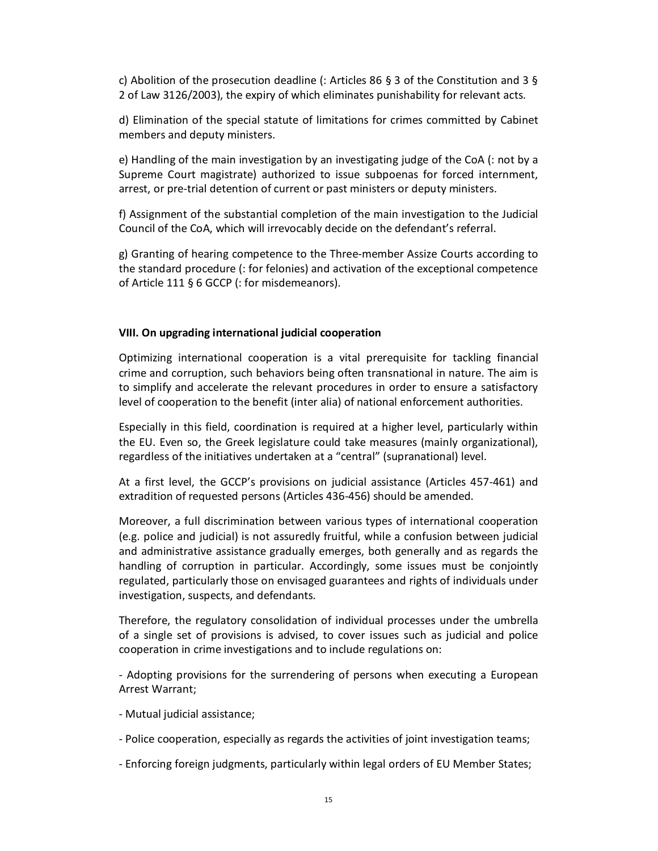c) Abolition of the prosecution deadline (: Articles 86 § 3 of the Constitution and 3 § 2 of Law 3126/2003), the expiry of which eliminates punishability for relevant acts.

d) Elimination of the special statute of limitations for crimes committed by Cabinet members and deputy ministers.

e) Handling of the main investigation by an investigating judge of the CoA (: not by a Supreme Court magistrate) authorized to issue subpoenas for forced internment, arrest, or pre-trial detention of current or past ministers or deputy ministers.

f) Assignment of the substantial completion of the main investigation to the Judicial Council of the CoA, which will irrevocably decide on the defendant's referral.

g) Granting of hearing competence to the Three-member Assize Courts according to the standard procedure (: for felonies) and activation of the exceptional competence of Article 111 § 6 GCCP (: for misdemeanors).

#### **VIII. On upgrading international judicial cooperation**

Optimizing international cooperation is a vital prerequisite for tackling financial crime and corruption, such behaviors being often transnational in nature. The aim is to simplify and accelerate the relevant procedures in order to ensure a satisfactory level of cooperation to the benefit (inter alia) of national enforcement authorities.

Especially in this field, coordination is required at a higher level, particularly within the EU. Even so, the Greek legislature could take measures (mainly organizational), regardless of the initiatives undertaken at a "central" (supranational) level.

At a first level, the GCCP's provisions on judicial assistance (Articles 457-461) and extradition of requested persons (Articles 436-456) should be amended.

Moreover, a full discrimination between various types of international cooperation (e.g. police and judicial) is not assuredly fruitful, while a confusion between judicial and administrative assistance gradually emerges, both generally and as regards the handling of corruption in particular. Accordingly, some issues must be conjointly regulated, particularly those on envisaged guarantees and rights of individuals under investigation, suspects, and defendants.

Therefore, the regulatory consolidation of individual processes under the umbrella of a single set of provisions is advised, to cover issues such as judicial and police cooperation in crime investigations and to include regulations on:

- Adopting provisions for the surrendering of persons when executing a European Arrest Warrant;

- Mutual judicial assistance;

- Police cooperation, especially as regards the activities of joint investigation teams;
- Enforcing foreign judgments, particularly within legal orders of EU Member States;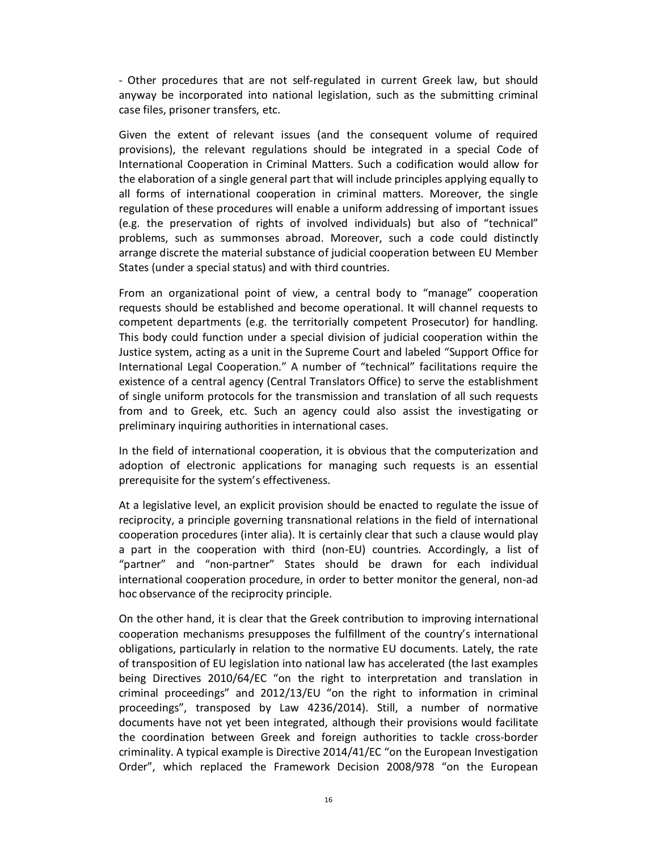- Other procedures that are not self-regulated in current Greek law, but should anyway be incorporated into national legislation, such as the submitting criminal case files, prisoner transfers, etc.

Given the extent of relevant issues (and the consequent volume of required provisions), the relevant regulations should be integrated in a special Code of International Cooperation in Criminal Matters. Such a codification would allow for the elaboration of a single general part that will include principles applying equally to all forms of international cooperation in criminal matters. Moreover, the single regulation of these procedures will enable a uniform addressing of important issues (e.g. the preservation of rights of involved individuals) but also of "technical" problems, such as summonses abroad. Moreover, such a code could distinctly arrange discrete the material substance of judicial cooperation between EU Member States (under a special status) and with third countries.

From an organizational point of view, a central body to "manage" cooperation requests should be established and become operational. It will channel requests to competent departments (e.g. the territorially competent Prosecutor) for handling. This body could function under a special division of judicial cooperation within the Justice system, acting as a unit in the Supreme Court and labeled "Support Office for International Legal Cooperation." A number of "technical" facilitations require the existence of a central agency (Central Translators Office) to serve the establishment of single uniform protocols for the transmission and translation of all such requests from and to Greek, etc. Such an agency could also assist the investigating or preliminary inquiring authorities in international cases.

In the field of international cooperation, it is obvious that the computerization and adoption of electronic applications for managing such requests is an essential prerequisite for the system's effectiveness.

At a legislative level, an explicit provision should be enacted to regulate the issue of reciprocity, a principle governing transnational relations in the field of international cooperation procedures (inter alia). It is certainly clear that such a clause would play a part in the cooperation with third (non-EU) countries. Accordingly, a list of "partner" and "non-partner" States should be drawn for each individual international cooperation procedure, in order to better monitor the general, non-ad hoc observance of the reciprocity principle.

On the other hand, it is clear that the Greek contribution to improving international cooperation mechanisms presupposes the fulfillment of the country's international obligations, particularly in relation to the normative EU documents. Lately, the rate of transposition of EU legislation into national law has accelerated (the last examples being Directives 2010/64/EC "on the right to interpretation and translation in criminal proceedings" and 2012/13/EU "on the right to information in criminal proceedings", transposed by Law 4236/2014). Still, a number of normative documents have not yet been integrated, although their provisions would facilitate the coordination between Greek and foreign authorities to tackle cross-border criminality. A typical example is Directive 2014/41/EC "on the European Investigation Order", which replaced the Framework Decision 2008/978 "on the European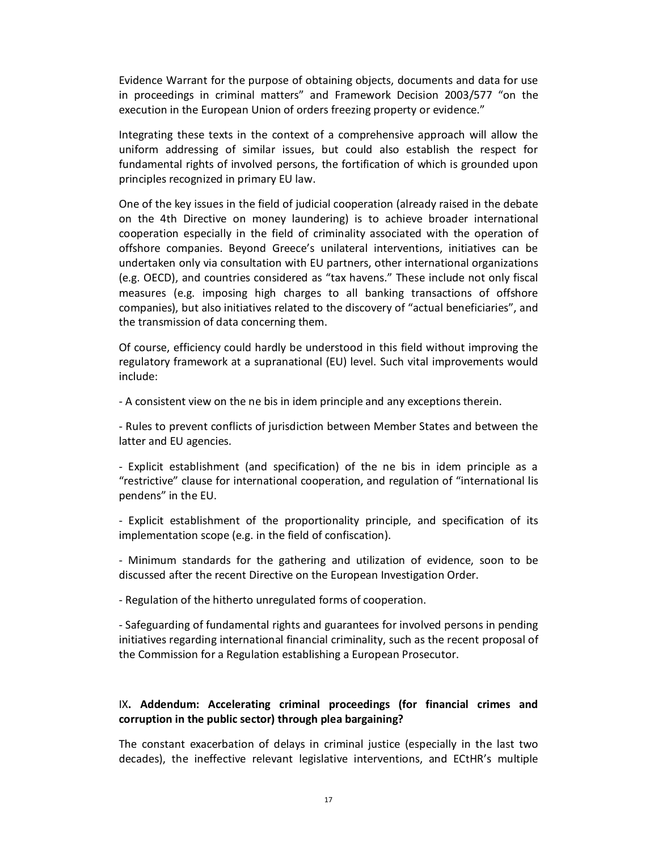Evidence Warrant for the purpose of obtaining objects, documents and data for use in proceedings in criminal matters" and Framework Decision 2003/577 "on the execution in the European Union of orders freezing property or evidence."

Integrating these texts in the context of a comprehensive approach will allow the uniform addressing of similar issues, but could also establish the respect for fundamental rights of involved persons, the fortification of which is grounded upon principles recognized in primary EU law.

One of the key issues in the field of judicial cooperation (already raised in the debate on the 4th Directive on money laundering) is to achieve broader international cooperation especially in the field of criminality associated with the operation of offshore companies. Beyond Greece's unilateral interventions, initiatives can be undertaken only via consultation with EU partners, other international organizations (e.g. OECD), and countries considered as "tax havens." These include not only fiscal measures (e.g. imposing high charges to all banking transactions of offshore companies), but also initiatives related to the discovery of "actual beneficiaries", and the transmission of data concerning them.

Of course, efficiency could hardly be understood in this field without improving the regulatory framework at a supranational (EU) level. Such vital improvements would include:

- A consistent view on the ne bis in idem principle and any exceptions therein.

- Rules to prevent conflicts of jurisdiction between Member States and between the latter and EU agencies.

- Explicit establishment (and specification) of the ne bis in idem principle as a "restrictive" clause for international cooperation, and regulation of "international lis pendens" in the EU.

- Explicit establishment of the proportionality principle, and specification of its implementation scope (e.g. in the field of confiscation).

- Minimum standards for the gathering and utilization of evidence, soon to be discussed after the recent Directive on the European Investigation Order.

- Regulation of the hitherto unregulated forms of cooperation.

- Safeguarding of fundamental rights and guarantees for involved persons in pending initiatives regarding international financial criminality, such as the recent proposal of the Commission for a Regulation establishing a European Prosecutor.

#### IX**. Addendum: Accelerating criminal proceedings (for financial crimes and corruption in the public sector) through plea bargaining?**

The constant exacerbation of delays in criminal justice (especially in the last two decades), the ineffective relevant legislative interventions, and ECtHR's multiple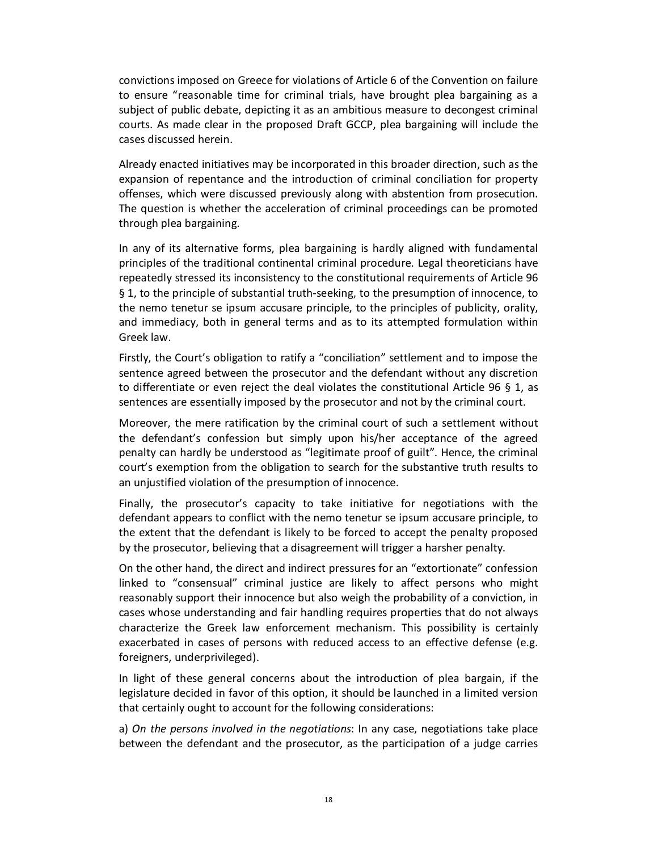convictions imposed on Greece for violations of Article 6 of the Convention on failure to ensure "reasonable time for criminal trials, have brought plea bargaining as a subject of public debate, depicting it as an ambitious measure to decongest criminal courts. As made clear in the proposed Draft GCCP, plea bargaining will include the cases discussed herein.

Already enacted initiatives may be incorporated in this broader direction, such as the expansion of repentance and the introduction of criminal conciliation for property offenses, which were discussed previously along with abstention from prosecution. The question is whether the acceleration of criminal proceedings can be promoted through plea bargaining.

In any of its alternative forms, plea bargaining is hardly aligned with fundamental principles of the traditional continental criminal procedure. Legal theoreticians have repeatedly stressed its inconsistency to the constitutional requirements of Article 96 § 1, to the principle of substantial truth-seeking, to the presumption of innocence, to the nemo tenetur se ipsum accusare principle, to the principles of publicity, orality, and immediacy, both in general terms and as to its attempted formulation within Greek law.

Firstly, the Court's obligation to ratify a "conciliation" settlement and to impose the sentence agreed between the prosecutor and the defendant without any discretion to differentiate or even reject the deal violates the constitutional Article 96 § 1, as sentences are essentially imposed by the prosecutor and not by the criminal court.

Moreover, the mere ratification by the criminal court of such a settlement without the defendant's confession but simply upon his/her acceptance of the agreed penalty can hardly be understood as "legitimate proof of guilt". Hence, the criminal court's exemption from the obligation to search for the substantive truth results to an unjustified violation of the presumption of innocence.

Finally, the prosecutor's capacity to take initiative for negotiations with the defendant appears to conflict with the nemo tenetur se ipsum accusare principle, to the extent that the defendant is likely to be forced to accept the penalty proposed by the prosecutor, believing that a disagreement will trigger a harsher penalty.

On the other hand, the direct and indirect pressures for an "extortionate" confession linked to "consensual" criminal justice are likely to affect persons who might reasonably support their innocence but also weigh the probability of a conviction, in cases whose understanding and fair handling requires properties that do not always characterize the Greek law enforcement mechanism. This possibility is certainly exacerbated in cases of persons with reduced access to an effective defense (e.g. foreigners, underprivileged).

In light of these general concerns about the introduction of plea bargain, if the legislature decided in favor of this option, it should be launched in a limited version that certainly ought to account for the following considerations:

a) *On the persons involved in the negotiations*: In any case, negotiations take place between the defendant and the prosecutor, as the participation of a judge carries